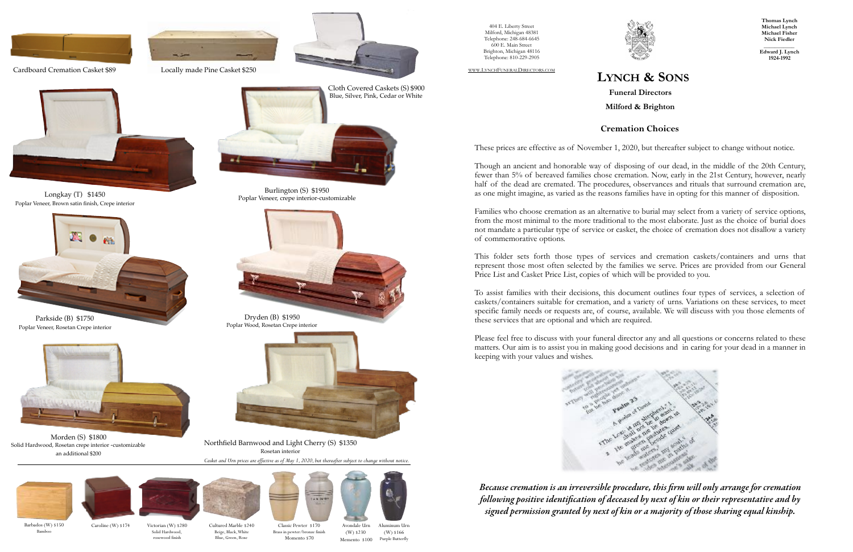# **LYNCH & SONS**

**Funeral Directors Milford & Brighton**

404 E. Liberty Street Milford, Michigan 48381 Telephone: 248-684-6645 600 E. Main Street Brighton, Michigan 48116 Telephone: 810-229-2905

WWW.LYNCHFUNERALDIRECTORS.COM

**Thomas Lynch Michael Lynch Michael Fisher Nick Fiedler** 

**\_\_\_\_\_\_\_\_\_\_\_ Edward J. Lynch 1924-1992**

## **Cremation Choices**

These prices are effective as of November 1, 2020, but thereafter subject to change without notice.

Though an ancient and honorable way of disposing of our dead, in the middle of the 20th Century, fewer than 5% of bereaved families chose cremation. Now, early in the 21st Century, however, nearly half of the dead are cremated. The procedures, observances and rituals that surround cremation are, as one might imagine, as varied as the reasons families have in opting for this manner of disposition.

Families who choose cremation as an alternative to burial may select from a variety of service options, from the most minimal to the more traditional to the most elaborate. Just as the choice of burial does not mandate a particular type of service or casket, the choice of cremation does not disallow a variety of commemorative options.



Solid Hardwood, rosewood finish Barbados (W) \$150 Caroline (W) \$174

This folder sets forth those types of services and cremation caskets/containers and urns that represent those most often selected by the families we serve. Prices are provided from our General Price List and Casket Price List, copies of which will be provided to you.

To assist families with their decisions, this document outlines four types of services, a selection of caskets/containers suitable for cremation, and a variety of urns. Variations on these services, to meet specific family needs or requests are, of course, available. We will discuss with you those elements of these services that are optional and which are required.

Please feel free to discuss with your funeral director any and all questions or concerns related to these matters. Our aim is to assist you in making good decisions and in caring for your dead in a manner in keeping with your values and wishes.



*Because cremation is an irreversible procedure, this* fi*rm will only arrange for cremation following positive identi*fi*cation of deceased by next of kin or their representative and by signed permission granted by next of kin or a majority of those sharing equal kinship.* 



Aluminum Urn

Victorian (W) \$280 Cultured Marble \$240

(W) \$166 Memento \$100 Purple Butterfly Avondale Urn (W) \$230

Beige, Black, White Blue, Green, Rose



Classic Pewter \$170 Brass in pewter/bronze finish Momento \$70



Longkay (T) \$1450 Poplar Veneer, Brown satin finish, Crepe interior

Morden (S) \$1800 Solid Hardwood, Rosetan crepe interior -customizable an additional \$200



Dryden (B) \$1950 Poplar Wood, Rosetan Crepe interior

Cardboard Cremation Casket \$89 Locally made Pine Casket \$250



![](_page_0_Picture_3.jpeg)

![](_page_0_Picture_5.jpeg)

Burlington (S) \$1950 Poplar Veneer, crepe interior-customizable

*Casket and Urn prices are effective as of May 1, 2020, but thereafter subject to change without notice.* 

![](_page_0_Picture_12.jpeg)

Bamboo

Parkside (B) \$1750 Poplar Veneer, Rosetan Crepe interior

![](_page_0_Picture_9.jpeg)

Northfield Barnwood and Light Cherry (S) \$1350 Rosetan interior